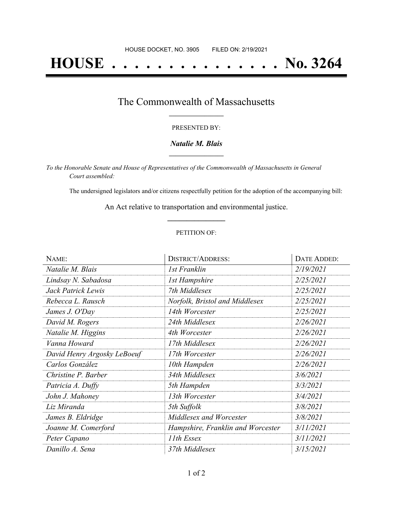# **HOUSE . . . . . . . . . . . . . . . No. 3264**

### The Commonwealth of Massachusetts **\_\_\_\_\_\_\_\_\_\_\_\_\_\_\_\_\_**

#### PRESENTED BY:

#### *Natalie M. Blais* **\_\_\_\_\_\_\_\_\_\_\_\_\_\_\_\_\_**

*To the Honorable Senate and House of Representatives of the Commonwealth of Massachusetts in General Court assembled:*

The undersigned legislators and/or citizens respectfully petition for the adoption of the accompanying bill:

An Act relative to transportation and environmental justice. **\_\_\_\_\_\_\_\_\_\_\_\_\_\_\_**

#### PETITION OF:

| NAME:                       | <b>DISTRICT/ADDRESS:</b>          | <b>DATE ADDED:</b> |
|-----------------------------|-----------------------------------|--------------------|
| Natalie M. Blais            | 1st Franklin                      | 2/19/2021          |
| Lindsay N. Sabadosa         | <b>1st Hampshire</b>              | 2/25/2021          |
| Jack Patrick Lewis          | 7th Middlesex                     | 2/25/2021          |
| Rebecca L. Rausch           | Norfolk, Bristol and Middlesex    | 2/25/2021          |
| James J. O'Day              | 14th Worcester                    | 2/25/2021          |
| David M. Rogers             | 24th Middlesex                    | 2/26/2021          |
| Natalie M. Higgins          | 4th Worcester                     | 2/26/2021          |
| Vanna Howard                | 17th Middlesex                    | 2/26/2021          |
| David Henry Argosky LeBoeuf | 17th Worcester                    | 2/26/2021          |
| Carlos González             | 10th Hampden                      | 2/26/2021          |
| Christine P. Barber         | 34th Middlesex                    | 3/6/2021           |
| Patricia A. Duffy           | 5th Hampden                       | 3/3/2021           |
| John J. Mahoney             | 13th Worcester                    | 3/4/2021           |
| Liz Miranda                 | 5th Suffolk                       | 3/8/2021           |
| James B. Eldridge           | Middlesex and Worcester           | 3/8/2021           |
| Joanne M. Comerford         | Hampshire, Franklin and Worcester | 3/11/2021          |
| Peter Capano                | 11th Essex                        | 3/11/2021          |
| Danillo A. Sena             | 37th Middlesex                    | <i>3/15/2021</i>   |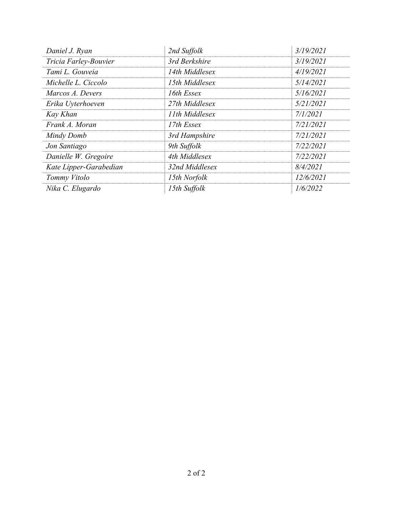| Daniel J. Ryan         | 2nd Suffolk    | 3/19/2021 |
|------------------------|----------------|-----------|
| Tricia Farley-Bouvier  | 3rd Berkshire  | 3/19/2021 |
| Tami L. Gouveia        | 14th Middlesex | 4/19/2021 |
| Michelle L. Ciccolo    | 15th Middlesex | 5/14/2021 |
| Marcos A. Devers       | 16th Essex     | 5/16/2021 |
| Erika Uyterhoeven      | 27th Middlesex | 5/21/2021 |
| Kay Khan               | 11th Middlesex | 7/1/2021  |
| Frank A. Moran         | 17th Essex     | 7/21/2021 |
| Mindy Domb             | 3rd Hampshire  | 7/21/2021 |
| Jon Santiago           | 9th Suffolk    | 7/22/2021 |
| Danielle W. Gregoire   | 4th Middlesex  | 7/22/2021 |
| Kate Lipper-Garabedian | 32nd Middlesex | 8/4/2021  |
| Tommy Vitolo           | 15th Norfolk   | 12/6/2021 |
| Nika C. Elugardo       | 15th Suffolk   | 1/6/2022  |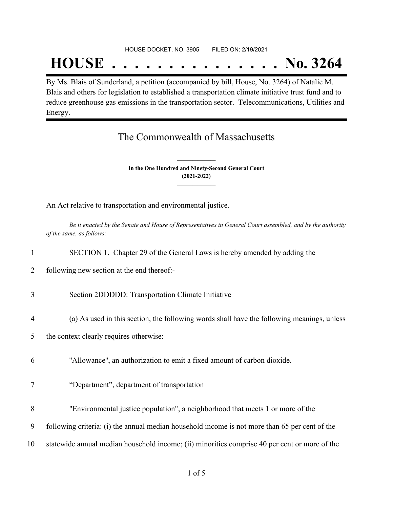## **HOUSE . . . . . . . . . . . . . . . No. 3264**

By Ms. Blais of Sunderland, a petition (accompanied by bill, House, No. 3264) of Natalie M. Blais and others for legislation to established a transportation climate initiative trust fund and to reduce greenhouse gas emissions in the transportation sector. Telecommunications, Utilities and Energy.

## The Commonwealth of Massachusetts

**In the One Hundred and Ninety-Second General Court (2021-2022) \_\_\_\_\_\_\_\_\_\_\_\_\_\_\_**

**\_\_\_\_\_\_\_\_\_\_\_\_\_\_\_**

An Act relative to transportation and environmental justice.

Be it enacted by the Senate and House of Representatives in General Court assembled, and by the authority *of the same, as follows:*

- 1 SECTION 1. Chapter 29 of the General Laws is hereby amended by adding the
- 2 following new section at the end thereof:-
- 3 Section 2DDDDD: Transportation Climate Initiative
- 4 (a) As used in this section, the following words shall have the following meanings, unless
- 5 the context clearly requires otherwise:
- 6 ''Allowance'', an authorization to emit a fixed amount of carbon dioxide.
- 7 "Department", department of transportation
- 8 "Environmental justice population", a neighborhood that meets 1 or more of the
- 9 following criteria: (i) the annual median household income is not more than 65 per cent of the
- 10 statewide annual median household income; (ii) minorities comprise 40 per cent or more of the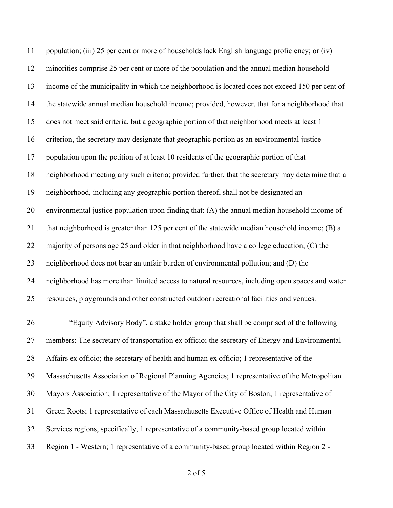population; (iii) 25 per cent or more of households lack English language proficiency; or (iv) minorities comprise 25 per cent or more of the population and the annual median household income of the municipality in which the neighborhood is located does not exceed 150 per cent of the statewide annual median household income; provided, however, that for a neighborhood that does not meet said criteria, but a geographic portion of that neighborhood meets at least 1 criterion, the secretary may designate that geographic portion as an environmental justice population upon the petition of at least 10 residents of the geographic portion of that neighborhood meeting any such criteria; provided further, that the secretary may determine that a neighborhood, including any geographic portion thereof, shall not be designated an environmental justice population upon finding that: (A) the annual median household income of that neighborhood is greater than 125 per cent of the statewide median household income; (B) a majority of persons age 25 and older in that neighborhood have a college education; (C) the neighborhood does not bear an unfair burden of environmental pollution; and (D) the neighborhood has more than limited access to natural resources, including open spaces and water resources, playgrounds and other constructed outdoor recreational facilities and venues.

 "Equity Advisory Body", a stake holder group that shall be comprised of the following members: The secretary of transportation ex officio; the secretary of Energy and Environmental Affairs ex officio; the secretary of health and human ex officio; 1 representative of the Massachusetts Association of Regional Planning Agencies; 1 representative of the Metropolitan Mayors Association; 1 representative of the Mayor of the City of Boston; 1 representative of Green Roots; 1 representative of each Massachusetts Executive Office of Health and Human Services regions, specifically, 1 representative of a community-based group located within Region 1 - Western; 1 representative of a community-based group located within Region 2 -

of 5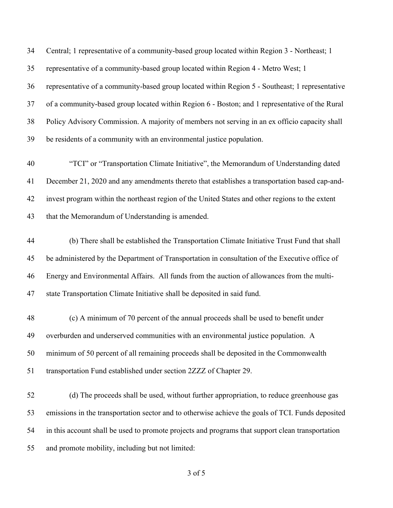| Central; 1 representative of a community-based group located within Region 3 - Northeast; 1       |
|---------------------------------------------------------------------------------------------------|
| representative of a community-based group located within Region 4 - Metro West; 1                 |
| representative of a community-based group located within Region 5 - Southeast; 1 representative   |
| of a community-based group located within Region 6 - Boston; and 1 representative of the Rural    |
| Policy Advisory Commission. A majority of members not serving in an ex officio capacity shall     |
| be residents of a community with an environmental justice population.                             |
| "TCI" or "Transportation Climate Initiative", the Memorandum of Understanding dated               |
| December 21, 2020 and any amendments thereto that establishes a transportation based cap-and-     |
| invest program within the northeast region of the United States and other regions to the extent   |
| that the Memorandum of Understanding is amended.                                                  |
| (b) There shall be established the Transportation Climate Initiative Trust Fund that shall        |
| be administered by the Department of Transportation in consultation of the Executive office of    |
| Energy and Environmental Affairs. All funds from the auction of allowances from the multi-        |
| state Transportation Climate Initiative shall be deposited in said fund.                          |
| (c) A minimum of 70 percent of the annual proceeds shall be used to benefit under                 |
| overburden and underserved communities with an environmental justice population. A                |
| minimum of 50 percent of all remaining proceeds shall be deposited in the Commonwealth            |
| transportation Fund established under section 2ZZZ of Chapter 29.                                 |
| (d) The proceeds shall be used, without further appropriation, to reduce greenhouse gas           |
| emissions in the transportation sector and to otherwise achieve the goals of TCI. Funds deposited |
| in this account shall be used to promote projects and programs that support clean transportation  |
| and promote mobility, including but not limited:                                                  |
|                                                                                                   |

of 5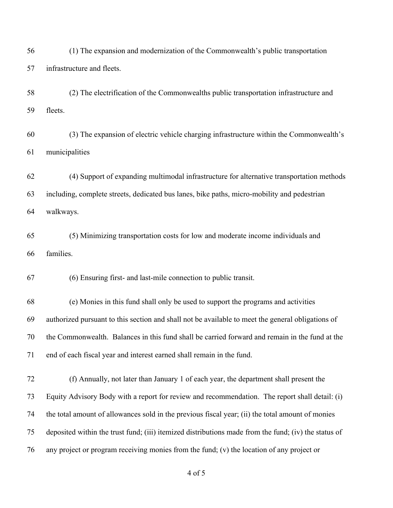(1) The expansion and modernization of the Commonwealth's public transportation infrastructure and fleets.

 (2) The electrification of the Commonwealths public transportation infrastructure and fleets.

 (3) The expansion of electric vehicle charging infrastructure within the Commonwealth's municipalities

 (4) Support of expanding multimodal infrastructure for alternative transportation methods including, complete streets, dedicated bus lanes, bike paths, micro-mobility and pedestrian walkways.

 (5) Minimizing transportation costs for low and moderate income individuals and families.

(6) Ensuring first- and last-mile connection to public transit.

 (e) Monies in this fund shall only be used to support the programs and activities authorized pursuant to this section and shall not be available to meet the general obligations of the Commonwealth. Balances in this fund shall be carried forward and remain in the fund at the end of each fiscal year and interest earned shall remain in the fund.

 (f) Annually, not later than January 1 of each year, the department shall present the Equity Advisory Body with a report for review and recommendation. The report shall detail: (i) the total amount of allowances sold in the previous fiscal year; (ii) the total amount of monies deposited within the trust fund; (iii) itemized distributions made from the fund; (iv) the status of any project or program receiving monies from the fund; (v) the location of any project or

of 5